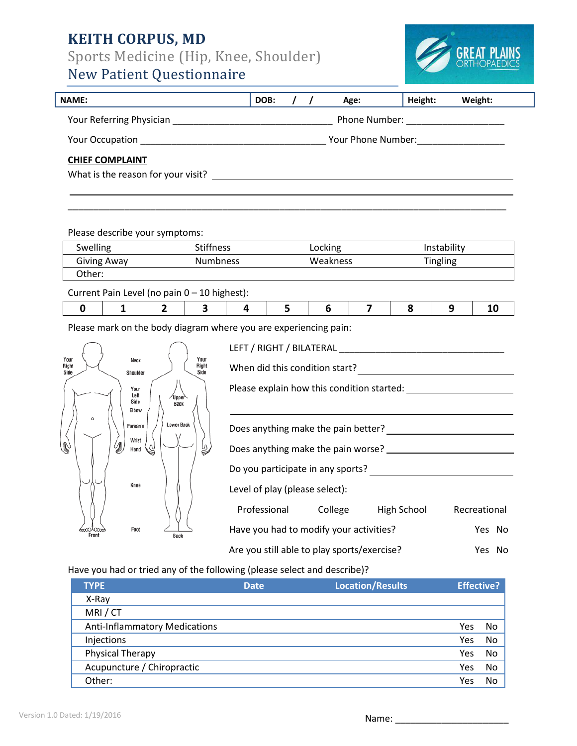# **KEITH CORPUS, MD**

Sports Medicine (Hip, Knee, Shoulder)

# New Patient Questionnaire



| <b>NAME:</b>                                                 | DOB:               |  |  | Age:          | Height: | Weight: |
|--------------------------------------------------------------|--------------------|--|--|---------------|---------|---------|
| Your Referring Physician                                     |                    |  |  | Phone Number: |         |         |
| <b>Your Occupation</b>                                       | Your Phone Number: |  |  |               |         |         |
| <b>CHIEF COMPLAINT</b><br>What is the reason for your visit? |                    |  |  |               |         |         |

Please describe your symptoms:

| <b>Swelling</b> | <b>Stiffness</b> | Locking  | Instability     |
|-----------------|------------------|----------|-----------------|
| Giving Away     | <b>Numbness</b>  | Weakness | <b>Tingling</b> |
| :Other          |                  |          |                 |

Current Pain Level (no pain 0 – 10 highest):

|--|

Please mark on the body diagram whe



| ere you are experiencing pain:                                                                                                                                                                                                         |  |                                               |        |  |  |  |
|----------------------------------------------------------------------------------------------------------------------------------------------------------------------------------------------------------------------------------------|--|-----------------------------------------------|--------|--|--|--|
|                                                                                                                                                                                                                                        |  |                                               |        |  |  |  |
|                                                                                                                                                                                                                                        |  |                                               |        |  |  |  |
|                                                                                                                                                                                                                                        |  |                                               |        |  |  |  |
|                                                                                                                                                                                                                                        |  |                                               |        |  |  |  |
|                                                                                                                                                                                                                                        |  |                                               |        |  |  |  |
|                                                                                                                                                                                                                                        |  |                                               |        |  |  |  |
| Do you participate in any sports?<br><u> Letter and the contract of the set of the set of the set of the set of the set of the set of the set of the set of the set of the set of the set of the set of the set of the set of the </u> |  |                                               |        |  |  |  |
| Level of play (please select):                                                                                                                                                                                                         |  |                                               |        |  |  |  |
|                                                                                                                                                                                                                                        |  | Professional College High School Recreational |        |  |  |  |
| Have you had to modify your activities?                                                                                                                                                                                                |  |                                               | Yes No |  |  |  |
| Are you still able to play sports/exercise?<br>Yes No                                                                                                                                                                                  |  |                                               |        |  |  |  |

Have you had or tried any of the following (please select and describe)?

| <b>TYPE</b>                          | <b>Date</b> | <b>Location/Results</b> | <b>Effective?</b> |    |
|--------------------------------------|-------------|-------------------------|-------------------|----|
| X-Ray                                |             |                         |                   |    |
| MRI/CT                               |             |                         |                   |    |
| <b>Anti-Inflammatory Medications</b> |             |                         | Yes               | No |
| Injections                           |             |                         | Yes               | No |
| Physical Therapy                     |             |                         | Yes               | No |
| Acupuncture / Chiropractic           |             |                         | Yes               | No |
| Other:                               |             |                         | Yes               | No |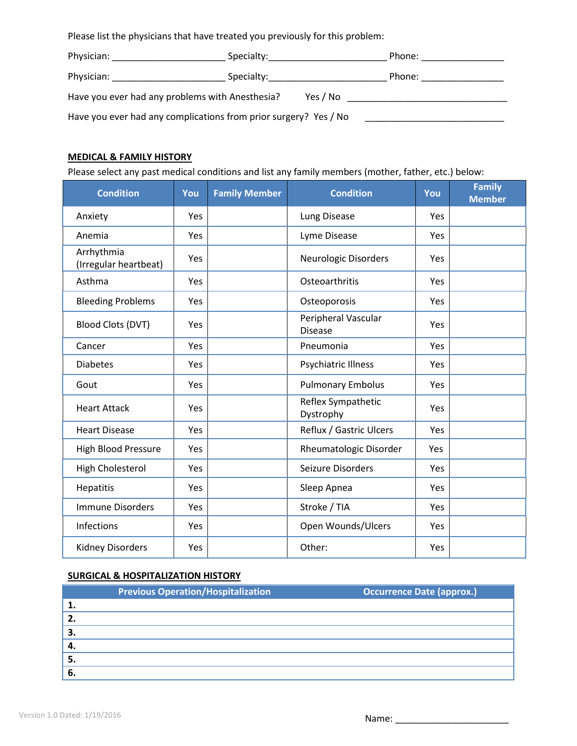Please list the physicians that have treated you previously for this problem:

| Physician:                                                       | Specialty: Specialty: | Phone: |  |
|------------------------------------------------------------------|-----------------------|--------|--|
| Physician:                                                       | Specialty: Specialty: | Phone: |  |
| Have you ever had any problems with Anesthesia?                  |                       |        |  |
| Have you ever had any complications from prior surgery? Yes / No |                       |        |  |

## **MEDICAL & FAMILY HISTORY**

Please select any past medical conditions and list any family members (mother, father, etc.) below:

| <b>Condition</b>                    | You        | <b>Family Member</b> | <b>Condition</b>                      | You        | <b>Family</b><br><b>Member</b> |
|-------------------------------------|------------|----------------------|---------------------------------------|------------|--------------------------------|
| Anxiety                             | <b>Yes</b> |                      | Lung Disease                          | <b>Yes</b> |                                |
| Anemia                              | Yes        |                      | Lyme Disease                          | <b>Yes</b> |                                |
| Arrhythmia<br>(Irregular heartbeat) | Yes        |                      | Neurologic Disorders                  | <b>Yes</b> |                                |
| Asthma                              | Yes        |                      | Osteoarthritis                        | Yes        |                                |
| <b>Bleeding Problems</b>            | <b>Yes</b> |                      | Osteoporosis                          | Yes        |                                |
| Blood Clots (DVT)                   | Yes        |                      | Peripheral Vascular<br><b>Disease</b> | Yes        |                                |
| Cancer                              | Yes        |                      | Pneumonia                             | Yes        |                                |
| <b>Diabetes</b>                     | Yes        |                      | <b>Psychiatric Illness</b>            | <b>Yes</b> |                                |
| Gout                                | Yes        |                      | <b>Pulmonary Embolus</b>              | Yes        |                                |
| <b>Heart Attack</b>                 | Yes        |                      | Reflex Sympathetic<br>Dystrophy       | Yes        |                                |
| <b>Heart Disease</b>                | Yes        |                      | Reflux / Gastric Ulcers               | Yes        |                                |
| <b>High Blood Pressure</b>          | Yes        |                      | Rheumatologic Disorder                | Yes        |                                |
| High Cholesterol                    | Yes        |                      | Seizure Disorders                     | Yes        |                                |
| Hepatitis                           | Yes        |                      | Sleep Apnea                           | <b>Yes</b> |                                |
| <b>Immune Disorders</b>             | Yes        |                      | Stroke / TIA                          | Yes        |                                |
| Infections                          | Yes        |                      | Open Wounds/Ulcers                    | Yes        |                                |
| <b>Kidney Disorders</b>             | Yes        |                      | Other:                                | Yes        |                                |

#### **SURGICAL & HOSPITALIZATION HISTORY**

|     | <b>Previous Operation/Hospitalization</b> | <b>Occurrence Date (approx.)</b> |
|-----|-------------------------------------------|----------------------------------|
| 1.  |                                           |                                  |
| 2.  |                                           |                                  |
| 3.  |                                           |                                  |
| -4. |                                           |                                  |
| 5.  |                                           |                                  |
| 6.  |                                           |                                  |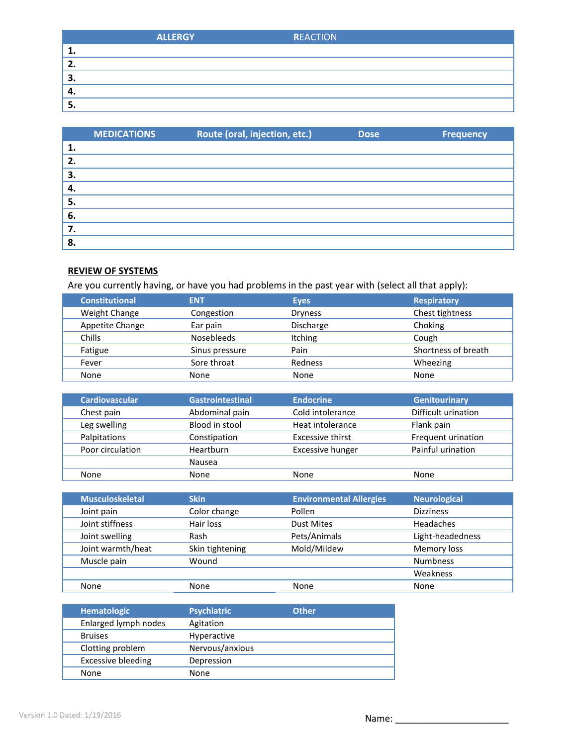|    | <b>ALLERGY</b> | <b>REACTION</b> |
|----|----------------|-----------------|
| ∸. |                |                 |
| L. |                |                 |
| З. |                |                 |
|    |                |                 |
|    |                |                 |

|    | <b>MEDICATIONS</b> | Route (oral, injection, etc.) | <b>Dose</b> | <b>Frequency</b> |
|----|--------------------|-------------------------------|-------------|------------------|
| 1. |                    |                               |             |                  |
| 2. |                    |                               |             |                  |
| 3. |                    |                               |             |                  |
| 4. |                    |                               |             |                  |
| 5. |                    |                               |             |                  |
| 6. |                    |                               |             |                  |
| 7. |                    |                               |             |                  |
| 8. |                    |                               |             |                  |

# **REVIEW OF SYSTEMS**

Are you currently having, or have you had problems in the past year with (select all that apply):

| <b>Constitutional</b> | <b>ENT</b>        | <b>Eyes</b>    | <b>Respiratory</b>  |
|-----------------------|-------------------|----------------|---------------------|
| Weight Change         | Congestion        | <b>Dryness</b> | Chest tightness     |
| Appetite Change       | Ear pain          | Discharge      | Choking             |
| Chills                | <b>Nosebleeds</b> | <b>Itching</b> | Cough               |
| Fatigue               | Sinus pressure    | Pain           | Shortness of breath |
| Fever                 | Sore throat       | Redness        | Wheezing            |
| None                  | None              | None           | None                |

| <b>Cardiovascular</b> | <b>Gastrointestinal</b> | <b>Endocrine</b>        | <b>Genitourinary</b> |
|-----------------------|-------------------------|-------------------------|----------------------|
| Chest pain            | Abdominal pain          | Cold intolerance        | Difficult urination  |
| Leg swelling          | Blood in stool          | Heat intolerance        | Flank pain           |
| Palpitations          | Constipation            | <b>Excessive thirst</b> | Frequent urination   |
| Poor circulation      | Heartburn               | <b>Excessive hunger</b> | Painful urination    |
|                       | Nausea                  |                         |                      |
| None                  | None                    | None                    | None                 |

| <b>Musculoskeletal</b> | <b>Skin</b>     | <b>Environmental Allergies</b> | <b>Neurological</b> |
|------------------------|-----------------|--------------------------------|---------------------|
| Joint pain             | Color change    | Pollen                         | <b>Dizziness</b>    |
| Joint stiffness        | Hair loss       | <b>Dust Mites</b>              | Headaches           |
| Joint swelling         | Rash            | Pets/Animals                   | Light-headedness    |
| Joint warmth/heat      | Skin tightening | Mold/Mildew                    | Memory loss         |
| Muscle pain            | Wound           |                                | <b>Numbness</b>     |
|                        |                 |                                | Weakness            |
| None                   | None            | None                           | None                |

| <b>Hematologic</b>        | <b>Psychiatric</b> | <b>Other</b> |  |
|---------------------------|--------------------|--------------|--|
| Enlarged lymph nodes      | Agitation          |              |  |
| <b>Bruises</b>            | <b>Hyperactive</b> |              |  |
| Clotting problem          | Nervous/anxious    |              |  |
| <b>Excessive bleeding</b> | Depression         |              |  |
| None                      | None               |              |  |